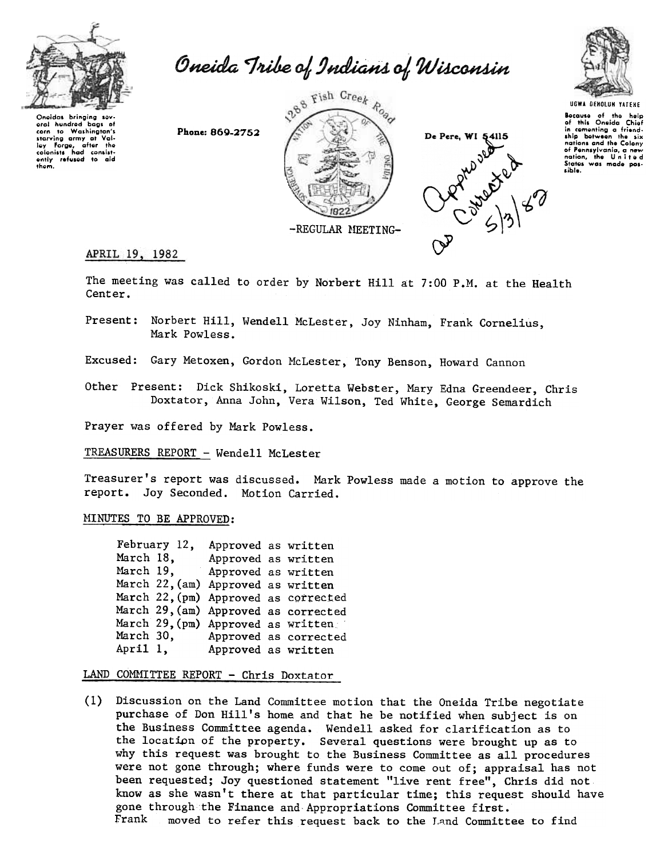

Oneida Tribe of Indians of Wisconsin

Onoidas bringing sov-<br>aral hundred baas of oral hundrod bags of<br>crom to Washington's<br>starving army at Val-<br>ley forge, after the<br>colonists had consist-<br>ontly refused to aid<br>thom.

Phone: 869-2752







Because of the help<br>of this Oneida Chiot<br>in cementing a friend.<br>ship between the six nations and the Colony of Pennsylvania, a new<br>nation, the United<br>States was mode possible.

## APRIL 19, 1982

The meeting was called to order by Norbert Hill at 7:00 P.M. at the Health Center.

Present: Norbert Hill, Wendell McLester, Joy Ninham, Frank Cornelius, Mark Powless.

Excused: Gary Metoxen, Gordon McLester, Tony Benson, Howard Cannon

Other Present: Dick Shikoski, Loretta Webster, Mary Edna Greendeer, Chri Doxtator, Anna John, Vera Wilson, Ted White, George Semardich

Prayer was offered by Mark Powless.

TREASURERS REPORT - Wendell McLester

Treasurer's report was discussed. Mark Powless made a motion to approve the report. Joy Seconded. Motion Carried.

## MINUTES TO BE APPROVED:

February 12, Approved as written March 18, Approved as written<br>March 19. Approved as written Approved as written March 22, (am) Approved as written March 22,  $(pm)$  Approved as corrected March 29, (am) Approved as corrected March 29, (pm) Approved as written March 30, Approved as corrected April 1, Approved as written

LAND COMMITTEE REPORT - Chris Doxtator

(1) Discussion on the Land Committee motion that the Oneida Tribe negotiate purchase of Don Hill's home and that he be notified when subject is on the Business Committee agenda. Wendell asked for clarification as to the location of the property. Several questions were brought up as to why this request was brought to the Business Committee as all procedures were not gone through; where funds were to come out of; appraisal has not been requested; Joy questioned statement "live rent free", Chris did not know as she wasn't there at that particular time; this request should have gone through the Finance and Appropriations Committee first. Frank moved to refer this request back to the Land Committee to find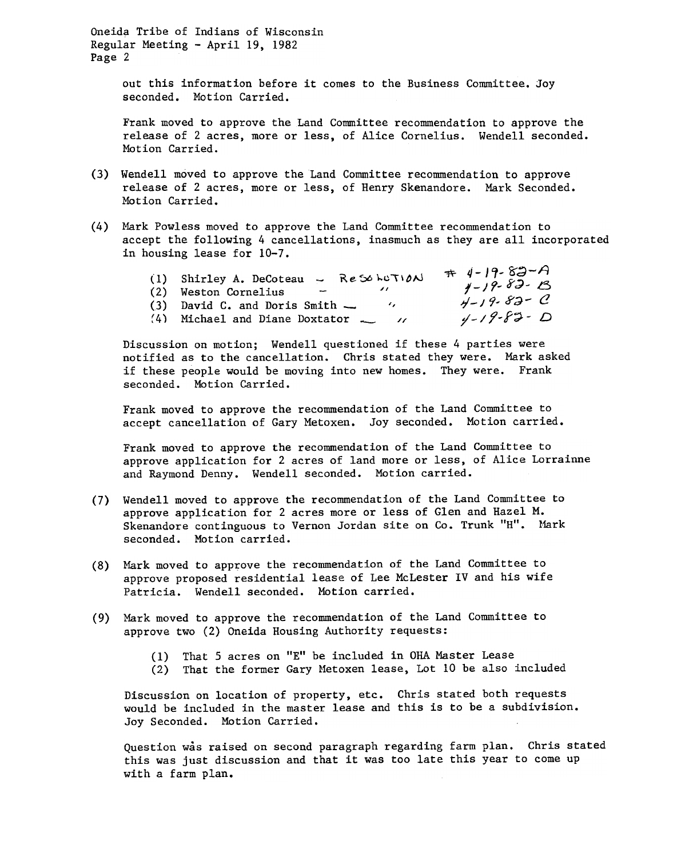Oneida Tribe of Indians of Wisconsin Regular Meeting -April 19, 1982 Page 2

out this information before it comes to the Business Committee. Joy seconded. Motion Carried.

Frank moved to approve the Land Committee recommendation to approve the release of 2 acres, more or less, of Alice Cornelius. Wendell seconded. Motion Carried.

- (3) Wendell moved to approve the Land Committee recommendation to approve release of 2 acres, more or less, of Henry Skenandore. Mark Seconded. Motion Carried.
- (4) Mark Powless moved to approve the Land Committee recommendation to accept the following 4 cancellations, inasmuch as they are all incorporated in housing lease for 10-7.

| (1) Shirley A. DeCoteau $\sim$ Re Solution          | $+$ 4-19-82-A     |
|-----------------------------------------------------|-------------------|
| (2) Weston Cornelius                                | $y-19-83-13$      |
| $(3)$ David C. and Doris Smith $\sim$<br>$\epsilon$ | $4 - 19 - 83 - C$ |
| (4) Michael and Diane Doxtator _                    | $4 - 19 - 83 - D$ |

Discussion on motion; Wendell questioned if these 4 parties were notified as to the cancellation. Chris stated they were. Mark asked if these people would be moving into new homes. They were. Frank seconded. Motion Carried.

Frank moved to approve the recommendation of the Land Committee to accept cancellation of Gary Metoxen. Joy seconded. Motion carried.

Frank moved to approve the recommendation of the Land Committee to approve application for 2 acres of land more or less, of Alice Lorrainne and Raymond Denny. Wendell seconded. Motion carried.

- (7) Wendell moved to approve the recommendation of the Land Committee to approve application for 2 acres more or less of Glen and Hazel M. Skenandore continguous to Vernon Jordan site on Co. Trunk "H". Mark seconded. Motion carried.
- (8) Mark moved to approve the recommendation of the Land Committee to approve proposed residential lease of Lee McLester IV and his wife Patricia. Wendell seconded. Motion carried.
- (9) Mark moved to approve the recommendation of the Land Committee to approve two (2) Oneida Housing Authority requests:
	- (1) That 5 acres on "E" be included in OHA Master Lease
	- (2) That the former Gary Metoxen lease, Lot 10 be also includ

Discussion on location of property, etc. Chris stated both requests would be included in the master lease and this is to be a subdivision. Joy Seconded. Motion Carried.

Question was raised on second paragraph regarding farm plan. Chris stated this was just discussion and that it was too late this year to come up with a farm plan.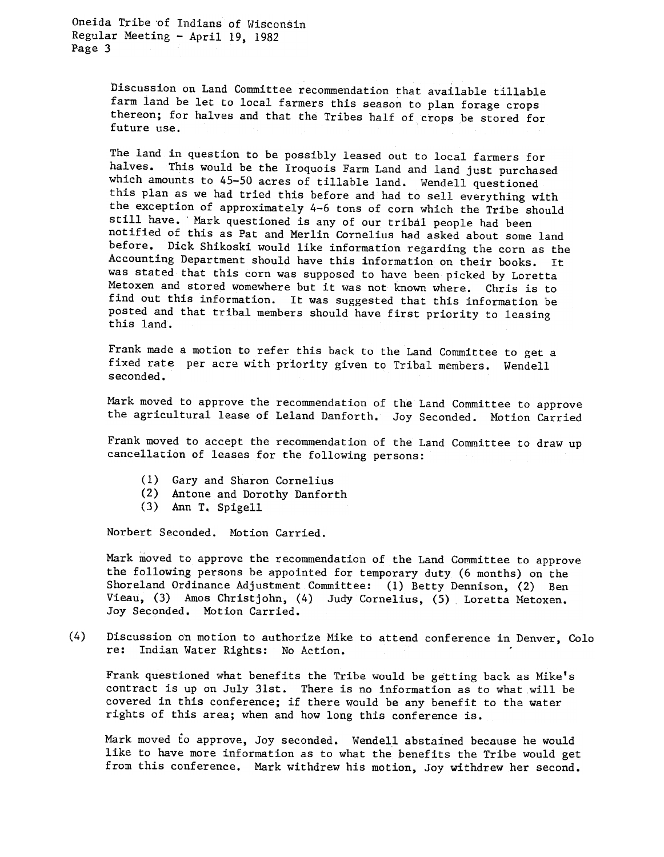Discussion on Land Committee recommendation that available tillable farm land be let to local farmers this season to plan forage crops thereon; for halves and that the Tribes half of crops be stored for future use.

The land in question to be possibly leased out to local farmers for halves. This would be the Iroquois Farm Land and land just purchased which amounts to 45-50 acres of tillable land. Wendell questioned this plan as we had tried this before and had to sell everything with the exception of approximately 4-6 tons of corn which the Tribe should still have. Mark questioned is any of our tribal people had been notified of this as Pat and Merlin Cornelius had asked about some land before. Dick Shikoski would like information regarding the corn as the Accounting Department should have this information on their books. It was stated that this corn was supposed to have been picked by Loretta Metoxen and stored womewhere but it was not known where. Chris is to find out this information. It was suggested that this information be posted and that tribal members should have first priority to leasing this land.

Frank made a motion to refer this back to the Land Committee to get a fixed rate per acre with priority given to Tribal members. Wendell seconded.

Mark moved to approve the recommendation of the Land Committee to approve the agricultural lease of Leland Danforth. Joy Seconded. Motion Carried

Frank moved to accept the recommendation of the Land Committee to draw up cancellation of leases for the following persons:

- (1) Gary and Sharon Corneli
- (2) Antone and Dorothy Danfort
- (3) Ann T. Spige

Norbert Seconded. Motion Carried.

Mark moved to approve the recommendation of the Land Committee to approve the following persons be appointed for temporary duty (6 months) on the Shoreland Ordinance Adjustment Commit (1) Betty Dennison, (2) Ben Vieau, (3) Amos Christjohn, (4) Judy Cornelius, (5) Loretta Metoxen Joy Seconded. Motion Carried.

(4) Discussion on motion to authorize Mike to attend conference in Denver, Colo<br>re: Indian Water Rights: No Action

Frank questioned what benefits the Tribe would be getting back as Mike's contract is up on July 31st. There is no information as to what will be covered in this conference; if there would be any benefit to the water rights of this area; when and how long this conference is.

Mark moved to approve, Joy seconded. Wendell abstained because he would like to have more information as to what the benefits the Tribe would get from this conference. Mark withdrew his motion, Joy withdrew her second.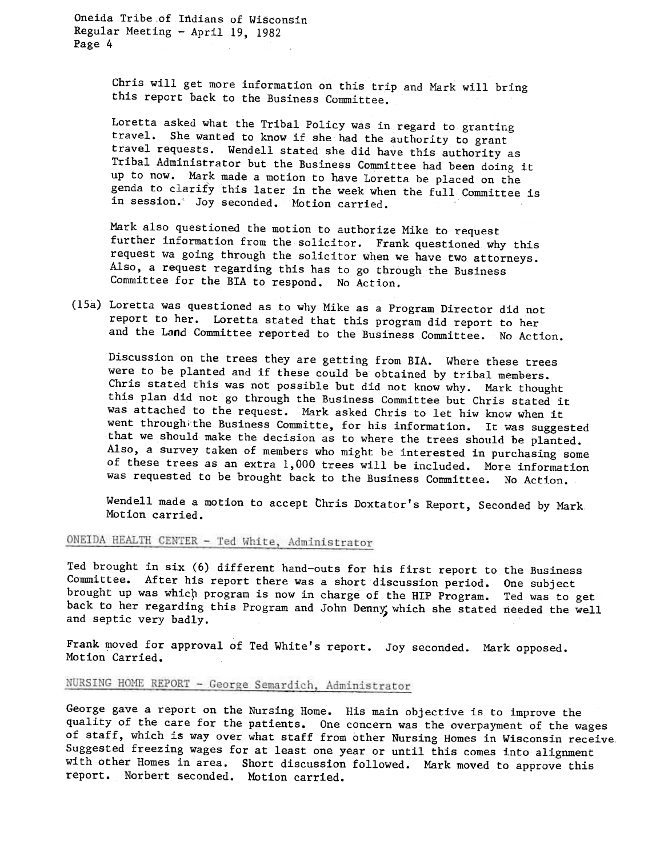Oneida Tribe of Indians of Wisconsin Regular Meeting - April 19, 1982 Page 4

> Chris will get more information on this trip and Mark will bring this report back to the Business Committee.

Loretta asked what the Tribal Policy was in regard to granting travel.. She wanted to know if she had the authority to grant travel requests. Wendell stated she did have this authority as Tribal Administrator but the Business Committee had been doing it up to now. Mark made a motion to have Loretta be placed on the genda to clarify this later in the week when the full Committee is in session.' Joy seconded. Motion carried.

Mark also questioned the motion to authorize Mike to request further information from the solicitor. Frank questioned why this request wa going through the solicitor when we have two attorneys. Also, a request regarding this has to go through the Business Committee for the BIA to respond. No Action.

(15a) Loretta was questioned as to why Mike as a Program Director did not report to her. Loretta stated that this program did report to her and the Land Committee reported to the Business Committee. No Action.

Discussion on the trees they are getting from BIA. Where these trees were to be planted and if these could be obtained by tribal members. Chris stated this was not possible but did not know why. Mark thought this plan did not go through the Business Committee but Chris stated it was attached to the request. Mark asked Chris to let hiw know when it went through the Business Committe, for his information. It was suggested that we should make the decision as to where the trees should be planted. Also, a survey taken of members who might be interested in purchasing some of these trees as an extra 1,000 trees will be included. More information was requested to be brought back to the Business Committee. No Action.

Wendell made a motion to accept Chris Doxtator's Report, Seconded by Mark. Motion carried.

## ONEIDA HEALTH CENTER - Ted White, Administrator

Ted brought in six (6) different hand-outs for his first report to the Business Committee. After his report there was a short discussion period. One subject brought up was which program is now in charge of the HIP Program. Ted was to get back to her regarding this Program and John Denny which she stated needed the well and septic very badly.

Frank moved for approval of Ted White's report. Joy seconded. Mark oppose Motion Carried.

## NURSING HOME REPORT - George Semardich, Administrator

George gave a report on the Nursing Home. His main objective is to improve the quality of the care for the patients. One concern was the overpayment of the wages of staff, which ia way over what staff from other Nursing Homes in Wisconsin receive Suggested freezing wages for at least one year or until this comes into alignment with other Homes in area. Short discussion followed. Mark moved to approve this Norbert seconded. Motion carried.